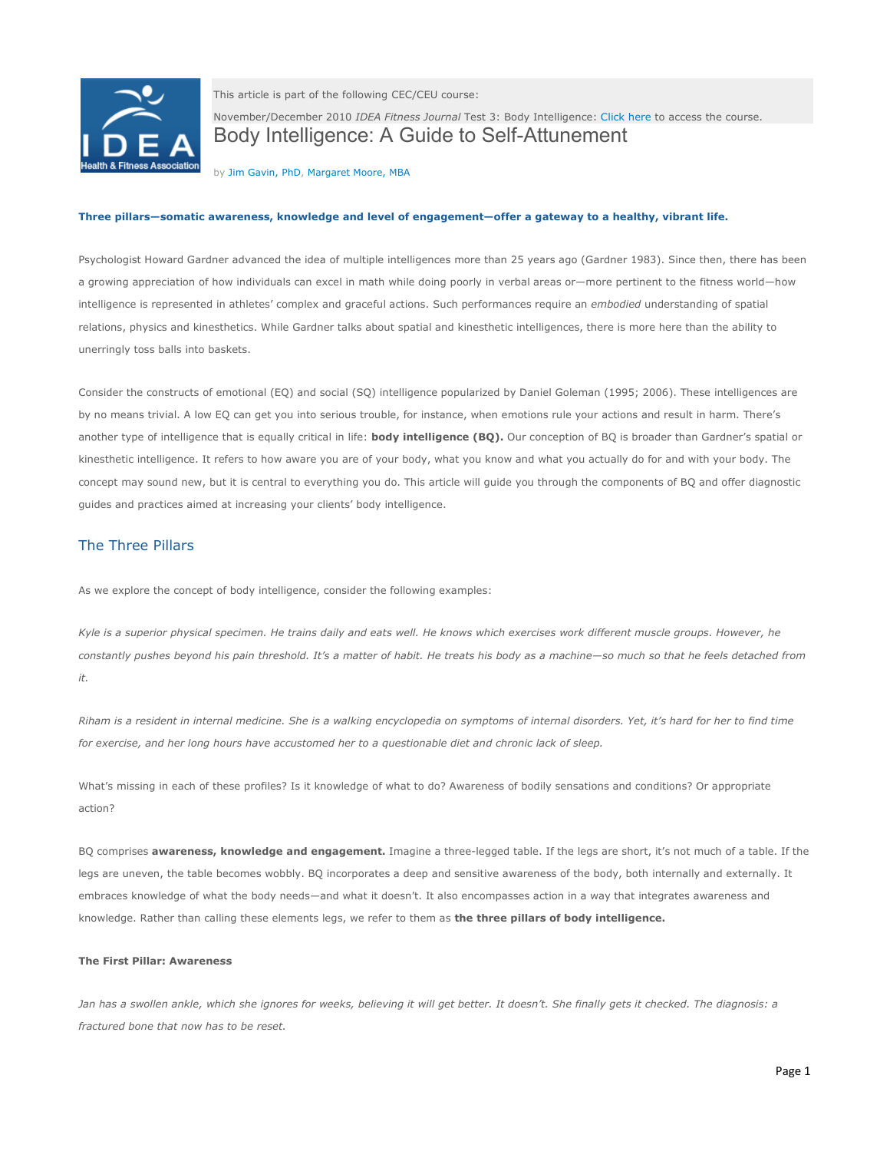

This article is part of the following CEC/CEU course:

November/December 2010 *IDEA Fitness Journal* Test 3: Body Intelligence[: Click here](http://www.ideafit.com/fitness-products/novemberdecember-2010-iidea-fitness-journali-test-3) to access the course. Body Intelligence: A Guide to Self-Attunement

by [Jim Gavin, PhD,](http://www.ideafit.com/fitness-expert/jim-gavin) [Margaret Moore, MBA](http://www.ideafit.com/fitness-expert/margaret-moore)

### **Three pillars—somatic awareness, knowledge and level of engagement—offer a gateway to a healthy, vibrant life.**

Psychologist Howard Gardner advanced the idea of multiple intelligences more than 25 years ago (Gardner 1983). Since then, there has been a growing appreciation of how individuals can excel in math while doing poorly in verbal areas or—more pertinent to the fitness world—how intelligence is represented in athletes' complex and graceful actions. Such performances require an *embodied* understanding of spatial relations, physics and kinesthetics. While Gardner talks about spatial and kinesthetic intelligences, there is more here than the ability to unerringly toss balls into baskets.

Consider the constructs of emotional (EQ) and social (SQ) intelligence popularized by Daniel Goleman (1995; 2006). These intelligences are by no means trivial. A low EQ can get you into serious trouble, for instance, when emotions rule your actions and result in harm. There's another type of intelligence that is equally critical in life: **body intelligence (BQ).** Our conception of BQ is broader than Gardner's spatial or kinesthetic intelligence. It refers to how aware you are of your body, what you know and what you actually do for and with your body. The concept may sound new, but it is central to everything you do. This article will guide you through the components of BQ and offer diagnostic guides and practices aimed at increasing your clients' body intelligence.

# The Three Pillars

As we explore the concept of body intelligence, consider the following examples:

*Kyle is a superior physical specimen. He trains daily and eats well. He knows which exercises work different muscle groups. However, he constantly pushes beyond his pain threshold. It's a matter of habit. He treats his body as a machine—so much so that he feels detached from it.* 

*Riham is a resident in internal medicine. She is a walking encyclopedia on symptoms of internal disorders. Yet, it's hard for her to find time for exercise, and her long hours have accustomed her to a questionable diet and chronic lack of sleep.*

What's missing in each of these profiles? Is it knowledge of what to do? Awareness of bodily sensations and conditions? Or appropriate action?

BQ comprises **awareness, knowledge and engagement.** Imagine a three-legged table. If the legs are short, it's not much of a table. If the legs are uneven, the table becomes wobbly. BQ incorporates a deep and sensitive awareness of the body, both internally and externally. It embraces knowledge of what the body needs—and what it doesn't. It also encompasses action in a way that integrates awareness and knowledge. Rather than calling these elements legs, we refer to them as **the three pillars of body intelligence.**

# **The First Pillar: Awareness**

Jan has a swollen ankle, which she ignores for weeks, believing it will get better. It doesn't. She finally gets it checked. The diagnosis: a *fractured bone that now has to be reset.*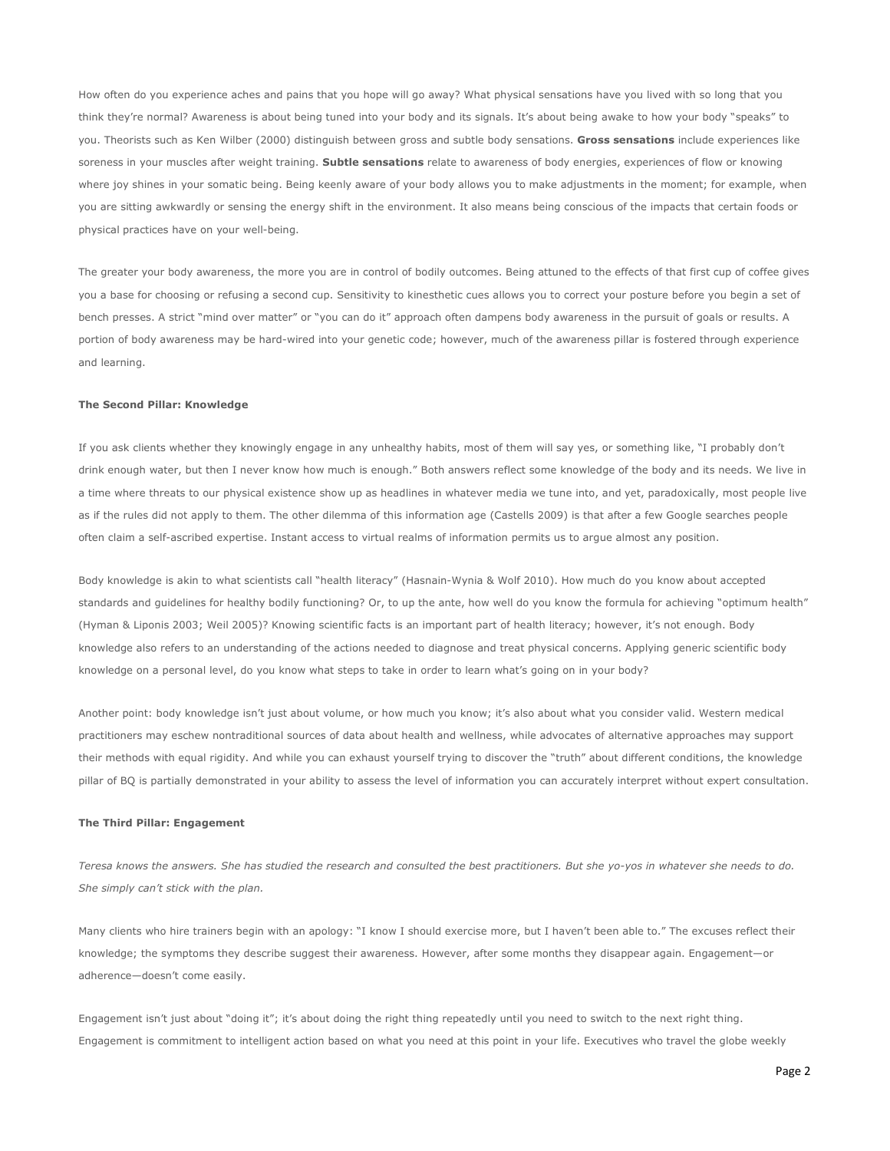How often do you experience aches and pains that you hope will go away? What physical sensations have you lived with so long that you think they're normal? Awareness is about being tuned into your body and its signals. It's about being awake to how your body "speaks" to you. Theorists such as Ken Wilber (2000) distinguish between gross and subtle body sensations. **Gross sensations** include experiences like soreness in your muscles after weight training. **Subtle sensations** relate to awareness of body energies, experiences of flow or knowing where joy shines in your somatic being. Being keenly aware of your body allows you to make adjustments in the moment; for example, when you are sitting awkwardly or sensing the energy shift in the environment. It also means being conscious of the impacts that certain foods or physical practices have on your well-being.

The greater your body awareness, the more you are in control of bodily outcomes. Being attuned to the effects of that first cup of coffee gives you a base for choosing or refusing a second cup. Sensitivity to kinesthetic cues allows you to correct your posture before you begin a set of bench presses. A strict "mind over matter" or "you can do it" approach often dampens body awareness in the pursuit of goals or results. A portion of body awareness may be hard-wired into your genetic code; however, much of the awareness pillar is fostered through experience and learning.

### **The Second Pillar: Knowledge**

If you ask clients whether they knowingly engage in any unhealthy habits, most of them will say yes, or something like, "I probably don't drink enough water, but then I never know how much is enough." Both answers reflect some knowledge of the body and its needs. We live in a time where threats to our physical existence show up as headlines in whatever media we tune into, and yet, paradoxically, most people live as if the rules did not apply to them. The other dilemma of this information age (Castells 2009) is that after a few Google searches people often claim a self-ascribed expertise. Instant access to virtual realms of information permits us to argue almost any position.

Body knowledge is akin to what scientists call "health literacy" (Hasnain-Wynia & Wolf 2010). How much do you know about accepted standards and guidelines for healthy bodily functioning? Or, to up the ante, how well do you know the formula for achieving "optimum health" (Hyman & Liponis 2003; Weil 2005)? Knowing scientific facts is an important part of health literacy; however, it's not enough. Body knowledge also refers to an understanding of the actions needed to diagnose and treat physical concerns. Applying generic scientific body knowledge on a personal level, do you know what steps to take in order to learn what's going on in your body?

Another point: body knowledge isn't just about volume, or how much you know; it's also about what you consider valid. Western medical practitioners may eschew nontraditional sources of data about health and wellness, while advocates of alternative approaches may support their methods with equal rigidity. And while you can exhaust yourself trying to discover the "truth" about different conditions, the knowledge pillar of BQ is partially demonstrated in your ability to assess the level of information you can accurately interpret without expert consultation.

### **The Third Pillar: Engagement**

*Teresa knows the answers. She has studied the research and consulted the best practitioners. But she yo-yos in whatever she needs to do. She simply can't stick with the plan.*

Many clients who hire trainers begin with an apology: "I know I should exercise more, but I haven't been able to." The excuses reflect their knowledge; the symptoms they describe suggest their awareness. However, after some months they disappear again. Engagement—or adherence—doesn't come easily.

Engagement isn't just about "doing it"; it's about doing the right thing repeatedly until you need to switch to the next right thing. Engagement is commitment to intelligent action based on what you need at this point in your life. Executives who travel the globe weekly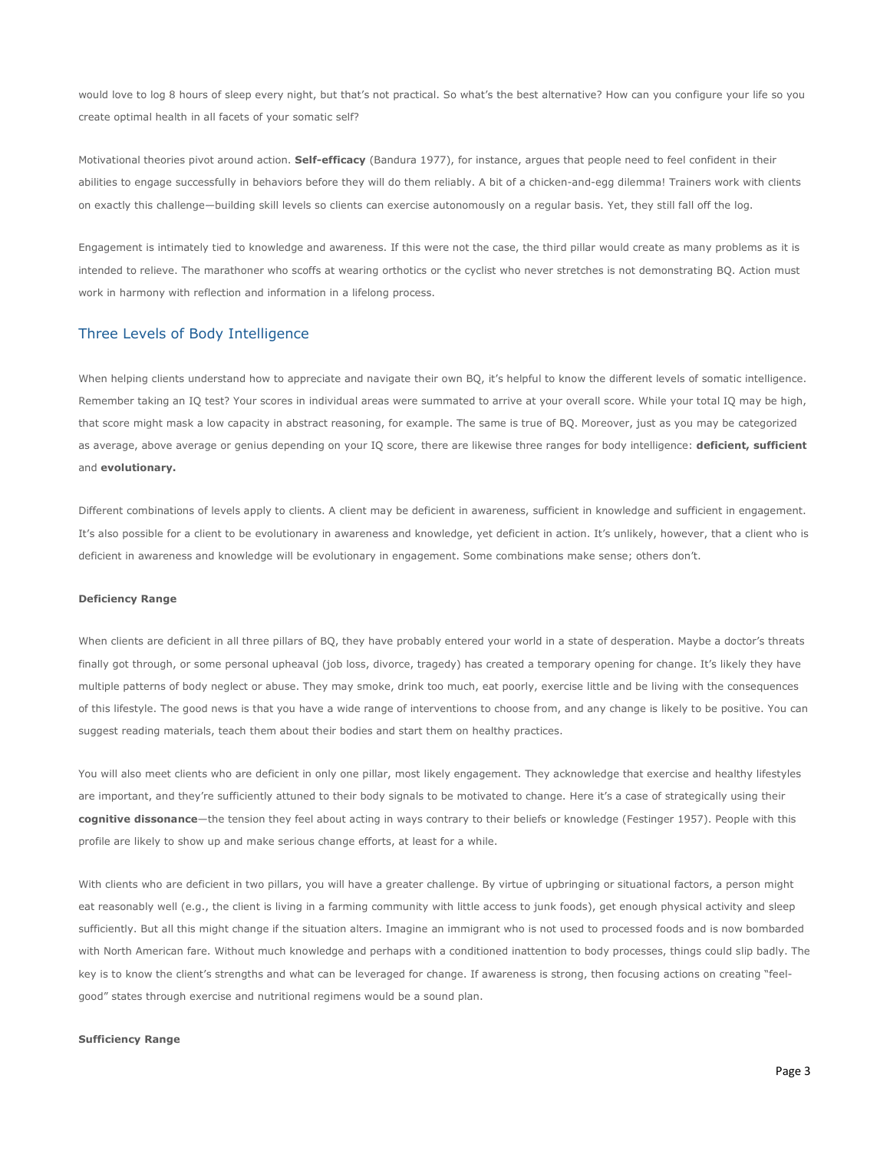would love to log 8 hours of sleep every night, but that's not practical. So what's the best alternative? How can you configure your life so you create optimal health in all facets of your somatic self?

Motivational theories pivot around action. **Self-efficacy** (Bandura 1977), for instance, argues that people need to feel confident in their abilities to engage successfully in behaviors before they will do them reliably. A bit of a chicken-and-egg dilemma! Trainers work with clients on exactly this challenge—building skill levels so clients can exercise autonomously on a regular basis. Yet, they still fall off the log.

Engagement is intimately tied to knowledge and awareness. If this were not the case, the third pillar would create as many problems as it is intended to relieve. The marathoner who scoffs at wearing orthotics or the cyclist who never stretches is not demonstrating BQ. Action must work in harmony with reflection and information in a lifelong process.

# Three Levels of Body Intelligence

When helping clients understand how to appreciate and navigate their own BQ, it's helpful to know the different levels of somatic intelligence. Remember taking an IQ test? Your scores in individual areas were summated to arrive at your overall score. While your total IQ may be high, that score might mask a low capacity in abstract reasoning, for example. The same is true of BQ. Moreover, just as you may be categorized as average, above average or genius depending on your IQ score, there are likewise three ranges for body intelligence: **deficient, sufficient**  and **evolutionary.** 

Different combinations of levels apply to clients. A client may be deficient in awareness, sufficient in knowledge and sufficient in engagement. It's also possible for a client to be evolutionary in awareness and knowledge, yet deficient in action. It's unlikely, however, that a client who is deficient in awareness and knowledge will be evolutionary in engagement. Some combinations make sense; others don't.

### **Deficiency Range**

When clients are deficient in all three pillars of BQ, they have probably entered your world in a state of desperation. Maybe a doctor's threats finally got through, or some personal upheaval (job loss, divorce, tragedy) has created a temporary opening for change. It's likely they have multiple patterns of body neglect or abuse. They may smoke, drink too much, eat poorly, exercise little and be living with the consequences of this lifestyle. The good news is that you have a wide range of interventions to choose from, and any change is likely to be positive. You can suggest reading materials, teach them about their bodies and start them on healthy practices.

You will also meet clients who are deficient in only one pillar, most likely engagement. They acknowledge that exercise and healthy lifestyles are important, and they're sufficiently attuned to their body signals to be motivated to change. Here it's a case of strategically using their **cognitive dissonance**—the tension they feel about acting in ways contrary to their beliefs or knowledge (Festinger 1957). People with this profile are likely to show up and make serious change efforts, at least for a while.

With clients who are deficient in two pillars, you will have a greater challenge. By virtue of upbringing or situational factors, a person might eat reasonably well (e.g., the client is living in a farming community with little access to junk foods), get enough physical activity and sleep sufficiently. But all this might change if the situation alters. Imagine an immigrant who is not used to processed foods and is now bombarded with North American fare. Without much knowledge and perhaps with a conditioned inattention to body processes, things could slip badly. The key is to know the client's strengths and what can be leveraged for change. If awareness is strong, then focusing actions on creating "feelgood" states through exercise and nutritional regimens would be a sound plan.

### **Sufficiency Range**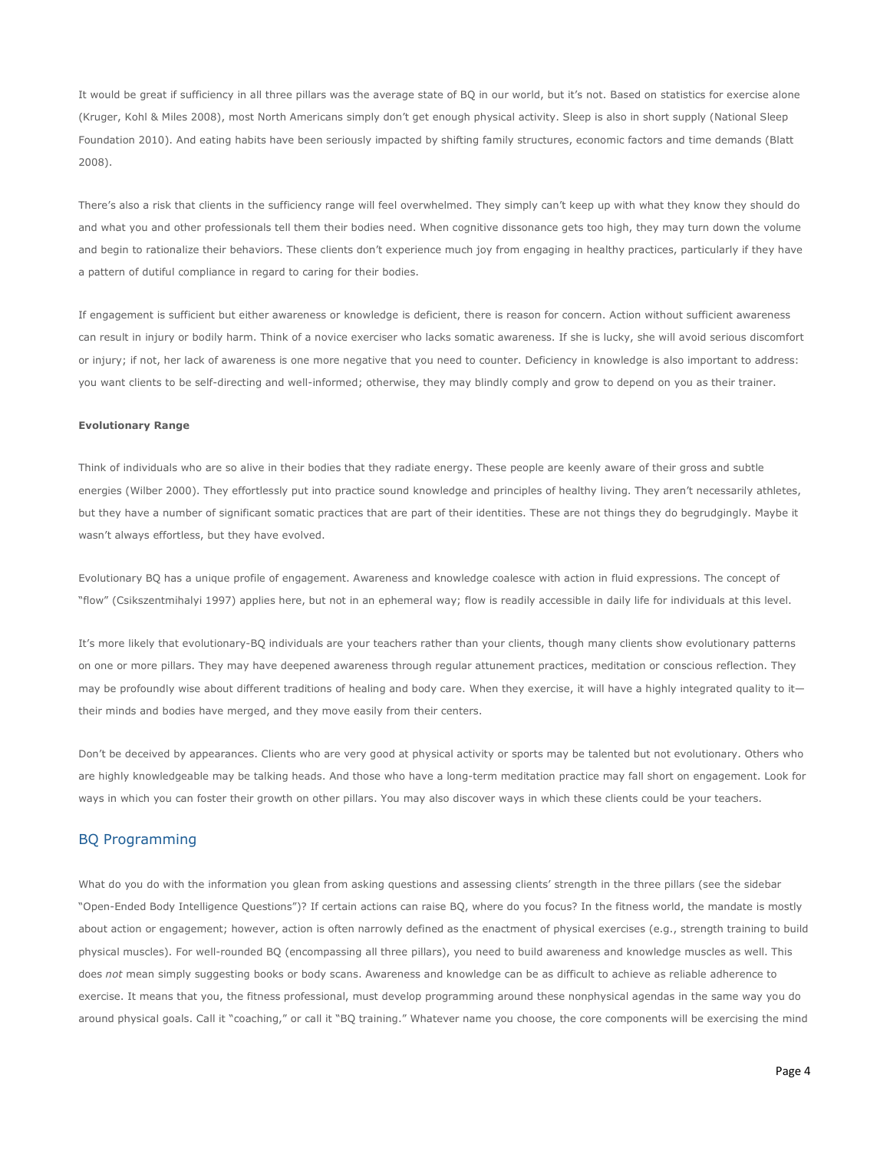It would be great if sufficiency in all three pillars was the average state of BQ in our world, but it's not. Based on statistics for exercise alone (Kruger, Kohl & Miles 2008), most North Americans simply don't get enough physical activity. Sleep is also in short supply (National Sleep Foundation 2010). And eating habits have been seriously impacted by shifting family structures, economic factors and time demands (Blatt 2008).

There's also a risk that clients in the sufficiency range will feel overwhelmed. They simply can't keep up with what they know they should do and what you and other professionals tell them their bodies need. When cognitive dissonance gets too high, they may turn down the volume and begin to rationalize their behaviors. These clients don't experience much joy from engaging in healthy practices, particularly if they have a pattern of dutiful compliance in regard to caring for their bodies.

If engagement is sufficient but either awareness or knowledge is deficient, there is reason for concern. Action without sufficient awareness can result in injury or bodily harm. Think of a novice exerciser who lacks somatic awareness. If she is lucky, she will avoid serious discomfort or injury; if not, her lack of awareness is one more negative that you need to counter. Deficiency in knowledge is also important to address: you want clients to be self-directing and well-informed; otherwise, they may blindly comply and grow to depend on you as their trainer.

### **Evolutionary Range**

Think of individuals who are so alive in their bodies that they radiate energy. These people are keenly aware of their gross and subtle energies (Wilber 2000). They effortlessly put into practice sound knowledge and principles of healthy living. They aren't necessarily athletes, but they have a number of significant somatic practices that are part of their identities. These are not things they do begrudgingly. Maybe it wasn't always effortless, but they have evolved.

Evolutionary BQ has a unique profile of engagement. Awareness and knowledge coalesce with action in fluid expressions. The concept of "flow" (Csikszentmihalyi 1997) applies here, but not in an ephemeral way; flow is readily accessible in daily life for individuals at this level.

It's more likely that evolutionary-BQ individuals are your teachers rather than your clients, though many clients show evolutionary patterns on one or more pillars. They may have deepened awareness through regular attunement practices, meditation or conscious reflection. They may be profoundly wise about different traditions of healing and body care. When they exercise, it will have a highly integrated quality to ittheir minds and bodies have merged, and they move easily from their centers.

Don't be deceived by appearances. Clients who are very good at physical activity or sports may be talented but not evolutionary. Others who are highly knowledgeable may be talking heads. And those who have a long-term meditation practice may fall short on engagement. Look for ways in which you can foster their growth on other pillars. You may also discover ways in which these clients could be your teachers.

## BQ Programming

What do you do with the information you glean from asking questions and assessing clients' strength in the three pillars (see the sidebar "Open-Ended Body Intelligence Questions")? If certain actions can raise BQ, where do you focus? In the fitness world, the mandate is mostly about action or engagement; however, action is often narrowly defined as the enactment of physical exercises (e.g., strength training to build physical muscles). For well-rounded BQ (encompassing all three pillars), you need to build awareness and knowledge muscles as well. This does *not* mean simply suggesting books or body scans. Awareness and knowledge can be as difficult to achieve as reliable adherence to exercise. It means that you, the fitness professional, must develop programming around these nonphysical agendas in the same way you do around physical goals. Call it "coaching," or call it "BQ training." Whatever name you choose, the core components will be exercising the mind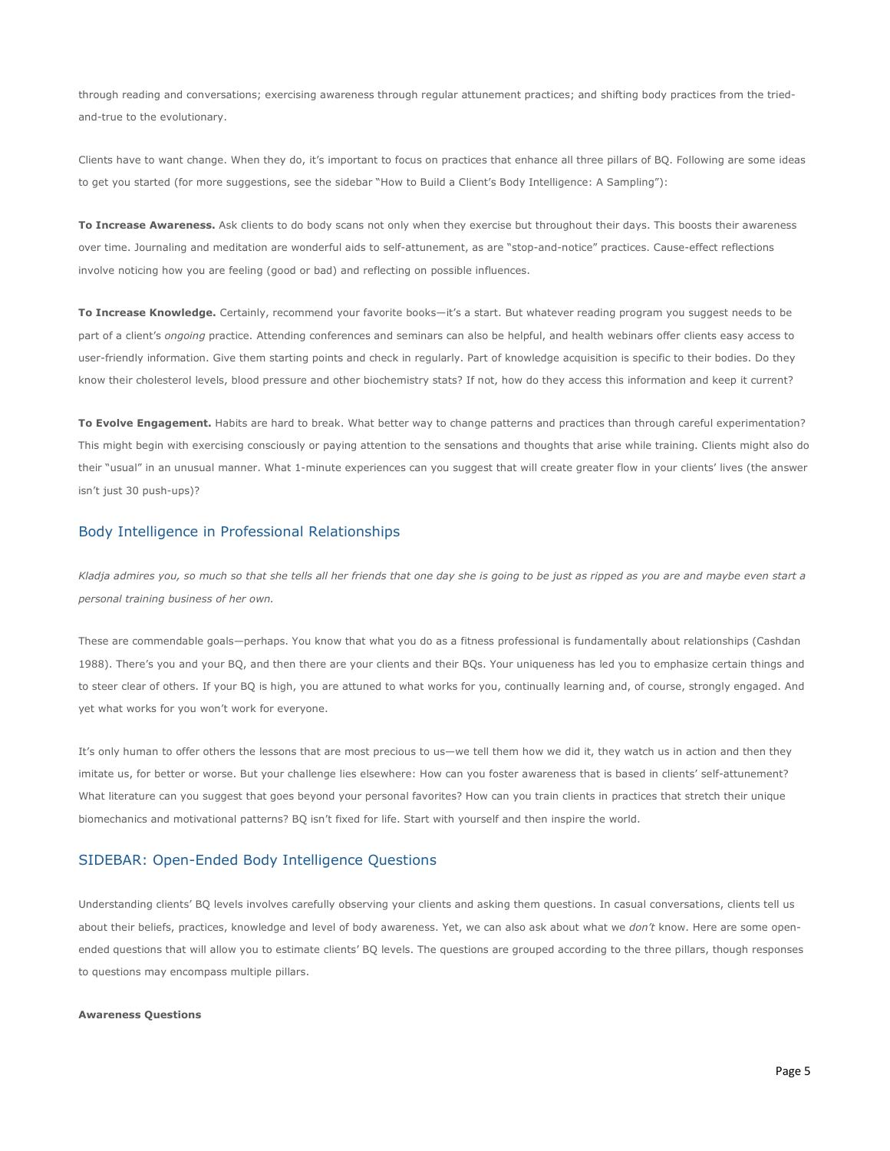through reading and conversations; exercising awareness through regular attunement practices; and shifting body practices from the triedand-true to the evolutionary.

Clients have to want change. When they do, it's important to focus on practices that enhance all three pillars of BQ. Following are some ideas to get you started (for more suggestions, see the sidebar "How to Build a Client's Body Intelligence: A Sampling"):

**To Increase Awareness.** Ask clients to do body scans not only when they exercise but throughout their days. This boosts their awareness over time. Journaling and meditation are wonderful aids to self-attunement, as are "stop-and-notice" practices. Cause-effect reflections involve noticing how you are feeling (good or bad) and reflecting on possible influences.

**To Increase Knowledge.** Certainly, recommend your favorite books—it's a start. But whatever reading program you suggest needs to be part of a client's *ongoing* practice. Attending conferences and seminars can also be helpful, and health webinars offer clients easy access to user-friendly information. Give them starting points and check in regularly. Part of knowledge acquisition is specific to their bodies. Do they know their cholesterol levels, blood pressure and other biochemistry stats? If not, how do they access this information and keep it current?

**To Evolve Engagement.** Habits are hard to break. What better way to change patterns and practices than through careful experimentation? This might begin with exercising consciously or paying attention to the sensations and thoughts that arise while training. Clients might also do their "usual" in an unusual manner. What 1-minute experiences can you suggest that will create greater flow in your clients' lives (the answer isn't just 30 push-ups)?

# Body Intelligence in Professional Relationships

*Kladja admires you, so much so that she tells all her friends that one day she is going to be just as ripped as you are and maybe even start a personal training business of her own.*

These are commendable goals—perhaps. You know that what you do as a fitness professional is fundamentally about relationships (Cashdan 1988). There's you and your BQ, and then there are your clients and their BQs. Your uniqueness has led you to emphasize certain things and to steer clear of others. If your BQ is high, you are attuned to what works for you, continually learning and, of course, strongly engaged. And yet what works for you won't work for everyone.

It's only human to offer others the lessons that are most precious to us—we tell them how we did it, they watch us in action and then they imitate us, for better or worse. But your challenge lies elsewhere: How can you foster awareness that is based in clients' self-attunement? What literature can you suggest that goes beyond your personal favorites? How can you train clients in practices that stretch their unique biomechanics and motivational patterns? BQ isn't fixed for life. Start with yourself and then inspire the world.

# SIDEBAR: Open-Ended Body Intelligence Questions

Understanding clients' BQ levels involves carefully observing your clients and asking them questions. In casual conversations, clients tell us about their beliefs, practices, knowledge and level of body awareness. Yet, we can also ask about what we *don't* know. Here are some openended questions that will allow you to estimate clients' BQ levels. The questions are grouped according to the three pillars, though responses to questions may encompass multiple pillars.

#### **Awareness Questions**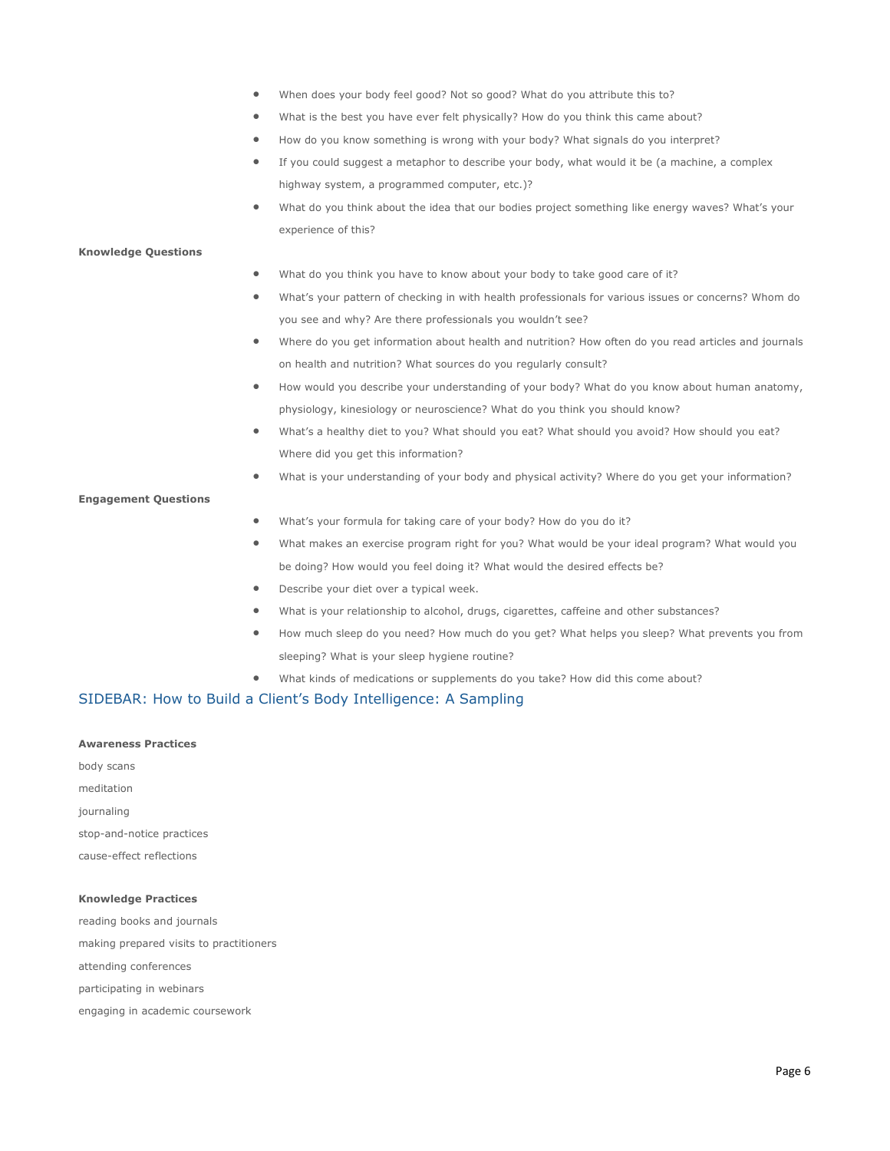- When does your body feel good? Not so good? What do you attribute this to?
- What is the best you have ever felt physically? How do you think this came about?
- How do you know something is wrong with your body? What signals do you interpret?
- If you could suggest a metaphor to describe your body, what would it be (a machine, a complex highway system, a programmed computer, etc.)?
- What do you think about the idea that our bodies project something like energy waves? What's your experience of this?

### **Knowledge Questions**

- What do you think you have to know about your body to take good care of it?
- What's your pattern of checking in with health professionals for various issues or concerns? Whom do you see and why? Are there professionals you wouldn't see?
- Where do you get information about health and nutrition? How often do you read articles and journals on health and nutrition? What sources do you regularly consult?
- How would you describe your understanding of your body? What do you know about human anatomy, physiology, kinesiology or neuroscience? What do you think you should know?
- What's a healthy diet to you? What should you eat? What should you avoid? How should you eat? Where did you get this information?
- What is your understanding of your body and physical activity? Where do you get your information?

### **Engagement Questions**

- What's your formula for taking care of your body? How do you do it?
- What makes an exercise program right for you? What would be your ideal program? What would you be doing? How would you feel doing it? What would the desired effects be?
- Describe your diet over a typical week.
- What is your relationship to alcohol, drugs, cigarettes, caffeine and other substances?
- How much sleep do you need? How much do you get? What helps you sleep? What prevents you from sleeping? What is your sleep hygiene routine?
- What kinds of medications or supplements do you take? How did this come about?

# SIDEBAR: How to Build a Client's Body Intelligence: A Sampling

### **Awareness Practices**

body scans meditation journaling stop-and-notice practices cause-effect reflections

### **Knowledge Practices**

reading books and journals making prepared visits to practitioners attending conferences participating in webinars engaging in academic coursework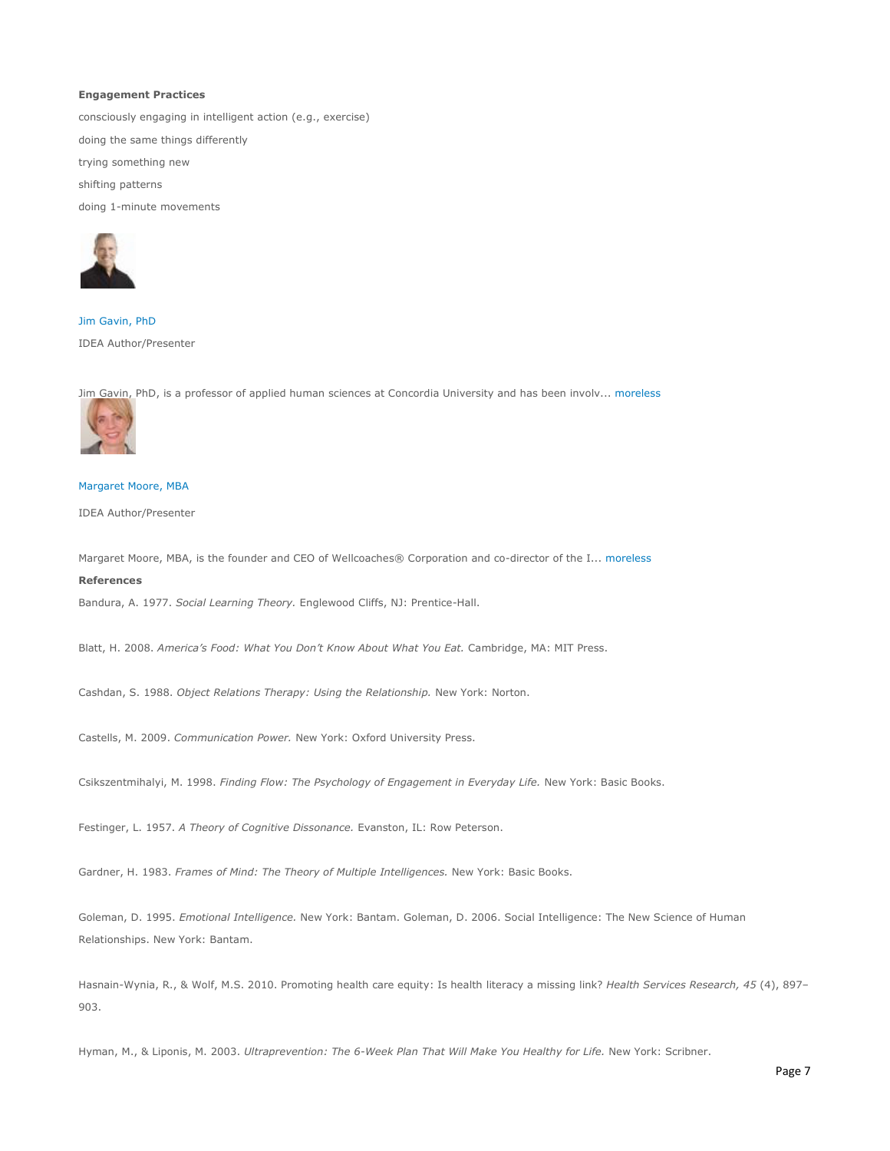### **Engagement Practices**

consciously engaging in intelligent action (e.g., exercise)

doing the same things differently

trying something new

shifting patterns

doing 1-minute movements



[Jim Gavin, PhD](http://www.ideafit.com/fitness-expert/jim-gavin) IDEA Author/Presenter

[Jim Gavin,](http://www.ideafit.com/fitness-expert/margaret-moore) PhD, is a professor of applied human sciences at Concordia University and has been involv... [moreless](http://www.ideafit.com/fitness-library/body-intelligence-a-guide-to)



### [Margaret Moore, MBA](http://www.ideafit.com/fitness-expert/margaret-moore)

IDEA Author/Presenter

Margaret Moore, MBA, is the founder and CEO of Wellcoaches® Corporation and co-director of the I..[. moreless](http://www.ideafit.com/fitness-library/body-intelligence-a-guide-to) **References** 

Bandura, A. 1977. *Social Learning Theory.* Englewood Cliffs, NJ: Prentice-Hall.

Blatt, H. 2008. *America's Food: What You Don't Know About What You Eat.* Cambridge, MA: MIT Press.

Cashdan, S. 1988. *Object Relations Therapy: Using the Relationship.* New York: Norton.

Castells, M. 2009. *Communication Power.* New York: Oxford University Press.

Csikszentmihalyi, M. 1998. *Finding Flow: The Psychology of Engagement in Everyday Life.* New York: Basic Books.

Festinger, L. 1957. *A Theory of Cognitive Dissonance.* Evanston, IL: Row Peterson.

Gardner, H. 1983. *Frames of Mind: The Theory of Multiple Intelligences.* New York: Basic Books.

Goleman, D. 1995. *Emotional Intelligence.* New York: Bantam. Goleman, D. 2006. Social Intelligence: The New Science of Human Relationships. New York: Bantam.

Hasnain-Wynia, R., & Wolf, M.S. 2010. Promoting health care equity: Is health literacy a missing link? *Health Services Research, 45* (4), 897– 903.

Hyman, M., & Liponis, M. 2003. *Ultraprevention: The 6-Week Plan That Will Make You Healthy for Life.* New York: Scribner.